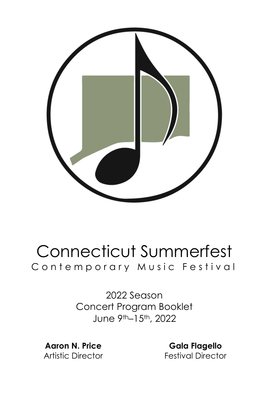

# Connecticut Summerfest Contemporary Music Festival

2022 Season Concert Program Booklet June 9th–15th, 2022

**Aaron N. Price** Artistic Director

**Gala Flagello** Festival Director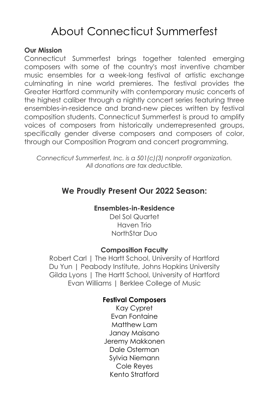# About Connecticut Summerfest

#### **Our Mission**

Connecticut Summerfest brings together talented emerging composers with some of the country's most inventive chamber music ensembles for a week-long festival of artistic exchange culminating in nine world premieres. The festival provides the Greater Hartford community with contemporary music concerts of the highest caliber through a nightly concert series featuring three ensembles-in-residence and brand-new pieces written by festival composition students. Connecticut Summerfest is proud to amplify voices of composers from historically underrepresented groups, specifically gender diverse composers and composers of color, through our Composition Program and concert programming.

*Connecticut Summerfest, Inc. is a 501(c)(3) nonprofit organization. All donations are tax deductible.*

#### **We Proudly Present Our 2022 Season:**

#### **Ensembles-in-Residence**

Del Sol Quartet Haven Trio NorthStar Duo

#### **Composition Faculty**

Robert Carl | The Hartt School, University of Hartford Du Yun | Peabody Institute, Johns Hopkins University Gilda Lyons | The Hartt School, University of Hartford Evan Williams | Berklee College of Music

#### **Festival Composers**

Kay Cypret Evan Fontaine Matthew Lam Janay Maisano Jeremy Makkonen Dale Osterman Sylvia Niemann Cole Reyes Kento Stratford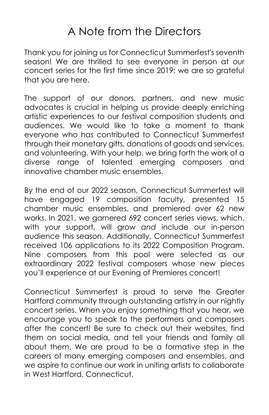# A Note from the Directors

Thank you for joining us for Connecticut Summerfest's seventh season! We are thrilled to see everyone in person at our concert series for the first time since 2019; we are so grateful that you are here.

The support of our donors, partners, and new music advocates is crucial in helping us provide deeply enriching artistic experiences to our festival composition students and audiences. We would like to take a moment to thank everyone who has contributed to Connecticut Summerfest through their monetary gifts, donations of goods and services, and volunteering. With your help, we bring forth the work of a diverse range of talented emerging composers and innovative chamber music ensembles.

By the end of our 2022 season, Connecticut Summerfest will have engaged 19 composition faculty, presented 15 chamber music ensembles, and premiered over 62 new works. In 2021, we garnered 692 concert series views, which, with your support, will grow *and* include our in-person audience this season. Additionally, Connecticut Summerfest received 106 applications to its 2022 Composition Program. Nine composers from this pool were selected as our extraordinary 2022 festival composers whose new pieces you'll experience at our Evening of Premieres concert!

Connecticut Summerfest is proud to serve the Greater Hartford community through outstanding artistry in our nightly concert series. When you enjoy something that you hear, we encourage you to speak to the performers and composers after the concert! Be sure to check out their websites, find them on social media, and tell your friends and family all about them. We are proud to be a formative step in the careers of many emerging composers and ensembles, and we aspire to continue our work in uniting artists to collaborate in West Hartford, Connecticut.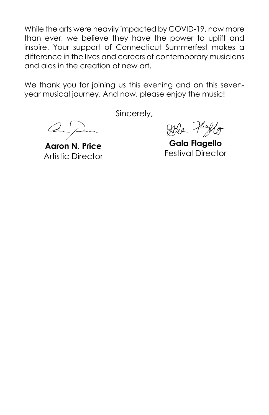While the arts were heavily impacted by COVID-19, now more than ever, we believe they have the power to uplift and inspire. Your support of Connecticut Summerfest makes a difference in the lives and careers of contemporary musicians and aids in the creation of new art.

We thank you for joining us this evening and on this sevenyear musical journey. And now, please enjoy the music!

 $\omega$ 

**Aaron N. Price** Artistic Director

Sincerely,

Ide Hello

**Gala Flagello** Festival Director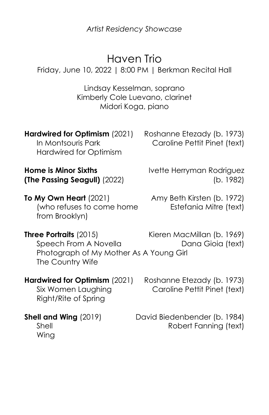*Artist Residency Showcase*

# Haven Trio

Friday, June 10, 2022 | 8:00 PM | Berkman Recital Hall

Lindsay Kesselman, soprano Kimberly Cole Luevano, clarinet Midori Koga, piano

**Hardwired for Optimism** (2021) Roshanne Etezady (b. 1973) Hardwired for Optimism

In Montsouris Park Caroline Pettit Pinet (text)

**Home is Minor Sixths IVette Herryman Rodriguez (The Passing Seagull)** (2022) (b. 1982)

**To My Own Heart** (2021) Amy Beth Kirsten (b. 1972) (who refuses to come home Estefania Mitre (text) from Brooklyn)

**Three Portraits** (2015) Kieren MacMillan (b. 1969) Speech From A Novella **Dana Gioia** (text) Photograph of My Mother As A Young Girl The Country Wife

**Hardwired for Optimism** (2021) Roshanne Etezady (b. 1973) Right/Rite of Spring

Six Women Laughing Caroline Pettit Pinet (text)

**Shell and Wing** (2019) David Biedenbender (b. 1984) Shell Robert Fanning (text)

Wing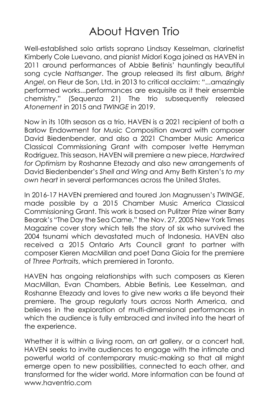### About Haven Trio

Well-established solo artists soprano Lindsay Kesselman, clarinetist Kimberly Cole Luevano, and pianist Midori Koga joined as HAVEN in 2011 around performances of Abbie Betinis' hauntingly beautiful song cycle *Nattsanger*. The group released its first album, *Bright Angel*, on Fleur de Son, Ltd. in 2013 to critical acclaim: "...amazingly performed works...performances are exquisite as it their ensemble chemistry." (Sequenza 21) The trio subsequently released *Atonement* in 2015 and *TWINGE* in 2019.

Now in its 10th season as a trio, HAVEN is a 2021 recipient of both a Barlow Endowment for Music Composition award with composer David Biedenbender, and also a 2021 Chamber Music America Classical Commissioning Grant with composer Ivette Herryman Rodriguez. This season, HAVEN will premiere a new piece, *Hardwired for Optimism* by Roshanne Etezady and also new arrangements of David Biedenbender's *Shell and Wing* and Amy Beth Kirsten's *to my own heart* in several performances across the United States.

In 2016-17 HAVEN premiered and toured Jon Magnussen's *TWINGE*, made possible by a 2015 Chamber Music America Classical Commissioning Grant. This work is based on Pulitzer Prize winer Barry Bearak's "The Day the Sea Came," the Nov. 27, 2005 New York Times Magazine cover story which tells the story of six who survived the 2004 tsunami which devastated much of Indonesia. HAVEN also received a 2015 Ontario Arts Council grant to partner with composer Kieren MacMillan and poet Dana Gioia for the premiere of *Three Portraits*, which premiered in Toronto.

HAVEN has ongoing relationships with such composers as Kieren MacMillan, Evan Chambers, Abbie Betinis, Lee Kesselman, and Roshanne Etezady and loves to give new works a life beyond their premiere. The group regularly tours across North America, and believes in the exploration of multi-dimensional performances in which the audience is fully embraced and invited into the heart of the experience.

Whether it is within a living room, an art gallery, or a concert hall, HAVEN seeks to invite audiences to engage with the intimate and powerful world of contemporary music-making so that all might emerge open to new possibilities, connected to each other, and transformed for the wider world. More information can be found at www.haventrio.com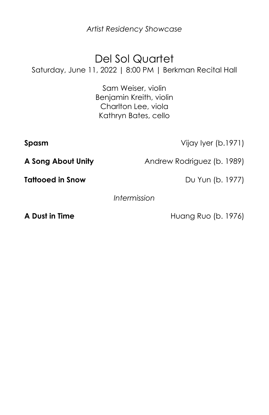*Artist Residency Showcase*

# Del Sol Quartet

Saturday, June 11, 2022 | 8:00 PM | Berkman Recital Hall

Sam Weiser, violin Benjamin Kreith, violin Charlton Lee, viola Kathryn Bates, cello

**Spasm** Vijay Iyer (b.1971)

**A Song About Unity** Andrew Rodriguez (b. 1989)

**Tattooed in Snow** Du Yun (b. 1977)

*Intermission*

**A Dust in Time** Huang Ruo (b. 1976)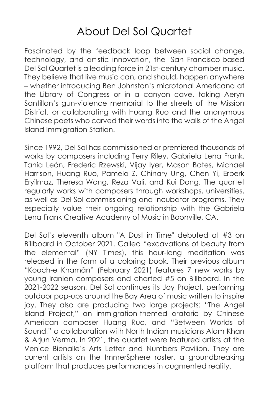### About Del Sol Quartet

Fascinated by the feedback loop between social change, technology, and artistic innovation, the San Francisco-based Del Sol Quartet is a leading force in 21st-century chamber music. They believe that live music can, and should, happen anywhere – whether introducing Ben Johnston's microtonal Americana at the Library of Congress or in a canyon cave, taking Aeryn Santillan's gun-violence memorial to the streets of the Mission District, or collaborating with Huang Ruo and the anonymous Chinese poets who carved their words into the walls of the Angel Island Immigration Station.

Since 1992, Del Sol has commissioned or premiered thousands of works by composers including Terry Riley, Gabriela Lena Frank, Tania León, Frederic Rzewski, Vijay Iyer, Mason Bates, Michael Harrison, Huang Ruo, Pamela Z, Chinary Ung, Chen Yi, Erberk Eryilmaz, Theresa Wong, Reza Vali, and Kui Dong. The quartet regularly works with composers through workshops, universities, as well as Del Sol commissioning and incubator programs. They especially value their ongoing relationship with the Gabriela Lena Frank Creative Academy of Music in Boonville, CA.

Del Sol's eleventh album "A Dust in Time" debuted at #3 on Billboard in October 2021. Called "excavations of beauty from the elemental" (NY Times), this hour-long meditation was released in the form of a coloring book. Their previous album "Kooch-e Khamân" (February 2021) features 7 new works by young Iranian composers and charted #5 on Billboard. In the 2021-2022 season, Del Sol continues its Joy Project, performing outdoor pop-ups around the Bay Area of music written to inspire joy. They also are producing two large projects: "The Angel Island Project," an immigration-themed oratorio by Chinese American composer Huang Ruo, and "Between Worlds of Sound," a collaboration with North Indian musicians Alam Khan & Arjun Verma. In 2021, the quartet were featured artists at the Venice Bienalle's Arts Letter and Numbers Pavilion. They are current artists on the ImmerSphere roster, a groundbreaking platform that produces performances in augmented reality.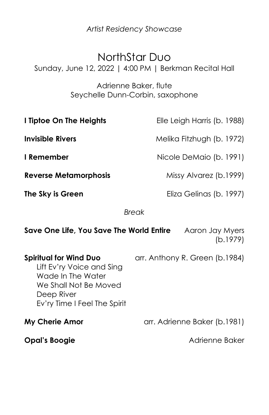*Artist Residency Showcase*

#### NorthStar Duo

Sunday, June 12, 2022 | 4:00 PM | Berkman Recital Hall

Adrienne Baker, flute Seychelle Dunn-Corbin, saxophone

| I Tiptoe On The Heights      | Elle Leigh Harris (b. 1988) |
|------------------------------|-----------------------------|
| <b>Invisible Rivers</b>      | Melika Fitzhugh (b. 1972)   |
| I Remember                   | Nicole DeMaio (b. 1991)     |
| <b>Reverse Metamorphosis</b> | Missy Alvarez (b.1999)      |
| The Sky is Green             | Eliza Gelinas (b. 1997)     |
|                              |                             |

*Break*

| Save One Life, You Save The World Entire                                                                                                               | Aaron Jay Myers<br>(b.1979)    |
|--------------------------------------------------------------------------------------------------------------------------------------------------------|--------------------------------|
| <b>Spiritual for Wind Duo</b><br>Lift Ev'ry Voice and Sing<br>Wade In The Water<br>We Shall Not Be Moved<br>Deep River<br>Ev'ry Time I Feel The Spirit | arr. Anthony R. Green (b.1984) |
| <b>My Cherie Amor</b>                                                                                                                                  | arr. Adrienne Baker (b.1981)   |
| Opal's Boogie                                                                                                                                          | Adrienne Baker                 |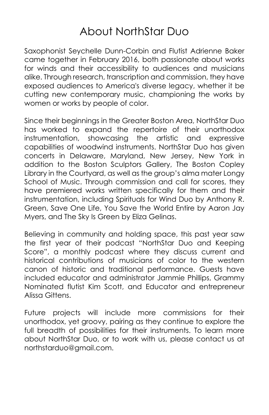### About NorthStar Duo

Saxophonist Seychelle Dunn-Corbin and Flutist Adrienne Baker came together in February 2016, both passionate about works for winds and their accessibility to audiences and musicians alike. Through research, transcription and commission, they have exposed audiences to America's diverse legacy, whether it be cutting new contemporary music, championing the works by women or works by people of color.

Since their beginnings in the Greater Boston Area, NorthStar Duo has worked to expand the repertoire of their unorthodox instrumentation, showcasing the artistic and expressive capabilities of woodwind instruments. NorthStar Duo has given concerts in Delaware, Maryland, New Jersey, New York in addition to the Boston Sculptors Gallery, The Boston Copley Library in the Courtyard, as well as the group's alma mater Longy School of Music. Through commission and call for scores, they have premiered works written specifically for them and their instrumentation, including Spirituals for Wind Duo by Anthony R. Green, Save One Life, You Save the World Entire by Aaron Jay Myers, and The Sky Is Green by Eliza Gelinas.

Believing in community and holding space, this past year saw the first year of their podcast "NorthStar Duo and Keeping Score", a monthly podcast where they discuss current and historical contributions of musicians of color to the western canon of historic and traditional performance. Guests have included educator and administrator Jammie Phillips, Grammy Nominated flutist Kim Scott, and Educator and entrepreneur Alissa Gittens.

Future projects will include more commissions for their unorthodox, yet groovy, pairing as they continue to explore the full breadth of possibilities for their instruments. To learn more about NorthStar Duo, or to work with us, please contact us at northstarduo@gmail.com.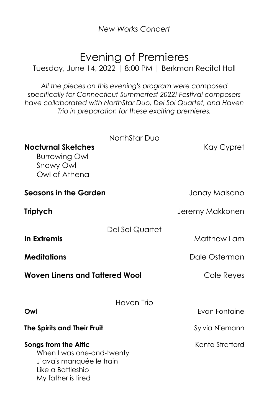*New Works Concert*

#### Evening of Premieres

Tuesday, June 14, 2022 | 8:00 PM | Berkman Recital Hall

*All the pieces on this evening's program were composed specifically for Connecticut Summerfest 2022! Festival composers have collaborated with NorthStar Duo, Del Sol Quartet, and Haven Trio in preparation for these exciting premieres.*

| Nocturnal Sketches<br><b>Burrowing Owl</b><br>Snowy Owl<br>Owl of Athena                                                 | NorthStar Duo   | Kay Cypret                                 |
|--------------------------------------------------------------------------------------------------------------------------|-----------------|--------------------------------------------|
| Seasons in the Garden                                                                                                    |                 | Janay Maisano                              |
| <b>Triptych</b>                                                                                                          |                 | Jeremy Makkonen                            |
| In Extremis<br><b>Meditations</b><br><b>Woven Linens and Tattered Wool</b>                                               | Del Sol Quartet | Matthew Lam<br>Dale Osterman<br>Cole Reyes |
| Owl                                                                                                                      | Haven Trio      | <b>Evan Fontaine</b>                       |
| The Spirits and Their Fruit                                                                                              |                 | Sylvia Niemann                             |
| Songs from the Attic<br>When I was one-and-twenty<br>J'avais manquée le train<br>Like a Battleship<br>My father is tired |                 | Kento Stratford                            |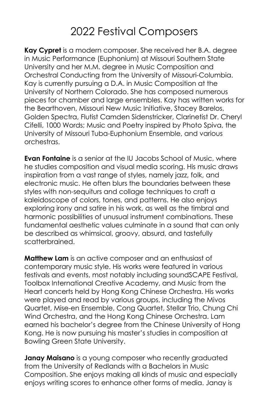# 2022 Festival Composers

**Kay Cypret** is a modern composer. She received her B.A. degree in Music Performance (Euphonium) at Missouri Southern State University and her M.M. degree in Music Composition and Orchestral Conducting from the University of Missouri-Columbia. Kay is currently pursuing a D.A. in Music Composition at the University of Northern Colorado. She has composed numerous pieces for chamber and large ensembles. Kay has written works for the Bearthoven, Missouri New Music Initiative, Stacey Barelos, Golden Spectra, Flutist Camden Sidenstricker, Clarinetist Dr. Cheryl Cifelli, 1000 Words; Music and Poetry inspired by Photo Spiva, the University of Missouri Tuba-Euphonium Ensemble, and various orchestras.

**Evan Fontaine** is a senior at the IU Jacobs School of Music, where he studies composition and visual media scoring. His music draws inspiration from a vast range of styles, namely jazz, folk, and electronic music. He often blurs the boundaries between these styles with non-sequiturs and collage techniques to craft a kaleidoscope of colors, tones, and patterns. He also enjoys exploring irony and satire in his work, as well as the timbral and harmonic possibilities of unusual instrument combinations. These fundamental aesthetic values culminate in a sound that can only be described as whimsical, groovy, absurd, and tastefully scatterbrained.

**Matthew Lam** is an active composer and an enthusiast of contemporary music style. His works were featured in various festivals and events, most notably including soundSCAPE Festival, Toolbox International Creative Academy, and Music from the Heart concerts held by Hong Kong Chinese Orchestra. His works were played and read by various groups, including the Mivos Quartet, Mise-en Ensemble, Cong Quartet, Stellar Trio, Chung Chi Wind Orchestra, and the Hong Kong Chinese Orchestra. Lam earned his bachelor's degree from the Chinese University of Hong Kong. He is now pursuing his master's studies in composition at Bowling Green State University.

**Janay Maisano** is a young composer who recently graduated from the University of Redlands with a Bachelors in Music Composition. She enjoys making all kinds of music and especially enjoys writing scores to enhance other forms of media. Janay is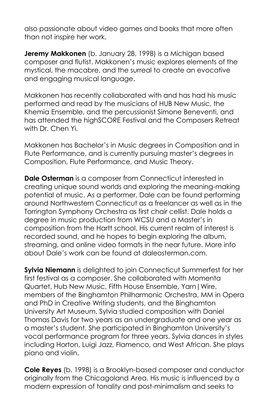also passionate about video games and books that more often than not inspire her work.

**Jeremy Makkonen** (b. January 28, 1998) is a Michigan based composer and flutist. Makkonen's music explores elements of the mystical, the macabre, and the surreal to create an evocative and engaging musical language.

Makkonen has recently collaborated with and has had his music performed and read by the musicians of HUB New Music, the Khemia Ensemble, and the percussionist Simone Beneventi, and has attended the highSCORE Festival and the Composers Retreat with Dr. Chen Yi.

Makkonen has Bachelor's in Music degrees in Composition and in Flute Performance, and is currently pursuing master's degrees in Composition, Flute Performance, and Music Theory.

**Dale Osterman** is a composer from Connecticut interested in creating unique sound worlds and exploring the meaning-making potential of music. As a performer, Dale can be found performing around Northwestern Connecticut as a freelancer as well as in the Torrington Symphony Orchestra as first chair cellist. Dale holds a degree in music production from WCSU and a Master's in composition from the Hartt school. His current realm of interest is recorded sound, and he hopes to begin exploring the album, streaming, and online video formats in the near future. More info about Dale's work can be found at daleosterman.com.

**Sylvia Niemann** is delighted to join Connecticut Summerfest for her first festival as a composer. She collaborated with Momenta Quartet, Hub New Music, Fifth House Ensemble, Yarn|Wire, members of the Binghamton Philharmonic Orchestra, MM in Opera and PhD in Creative Writing students, and the Binghamton University Art Museum. Sylvia studied composition with Daniel Thomas Davis for two years as an undergraduate and one year as a master's student. She participated in Binghamton University's vocal performance program for three years. Sylvia dances in styles including Horton, Luigi Jazz, Flamenco, and West African. She plays piano and violin.

**Cole Reyes** (b. 1998) is a Brooklyn-based composer and conductor originally from the Chicagoland Area. His music is influenced by a modern expression of tonality and post-minimalism and seeks to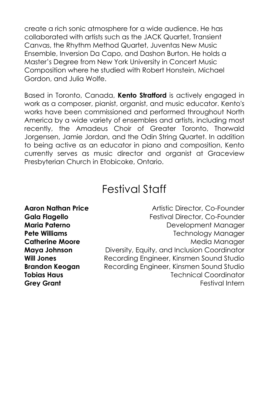create a rich sonic atmosphere for a wide audience. He has collaborated with artists such as the JACK Quartet, Transient Canvas, the Rhythm Method Quartet, Juventas New Music Ensemble, Inversion Da Capo, and Dashon Burton. He holds a Master's Degree from New York University in Concert Music Composition where he studied with Robert Honstein, Michael Gordon, and Julia Wolfe.

Based in Toronto, Canada, **Kento Stratford** is actively engaged in work as a composer, pianist, organist, and music educator. Kento's works have been commissioned and performed throughout North America by a wide variety of ensembles and artists, including most recently, the Amadeus Choir of Greater Toronto, Thorwald Jorgensen, Jamie Jordan, and the Odin String Quartet. In addition to being active as an educator in piano and composition, Kento currently serves as music director and organist at Graceview Presbyterian Church in Etobicoke, Ontario.

#### Festival Staff

**Aaron Nathan Price Antistic Director, Co-Founder Gala Flagello** Festival Director, Co-Founder **Maria Paterno Maria Paterno Development Manager Pete Williams Technology Manager Catherine Moore Media Manager in the Media Manager Maya Johnson** Diversity, Equity, and Inclusion Coordinator **Will Jones** Recording Engineer, Kinsmen Sound Studio **Brandon Keogan** Recording Engineer, Kinsmen Sound Studio **Tobias Haus** Technical Coordinator **Grey Grant Grey Grant Festival Internal According Creative Contract According Festival Internal According Creative Contract According Creative Contract According Creative Contract According Creative Contract According**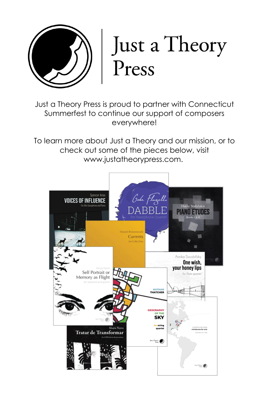

# Just a Theory Press

Just a Theory Press is proud to partner with Connecticut Summerfest to continue our support of composers everywhere!

To learn more about Just a Theory and our mission, or to check out some of the pieces below, visit www.justatheorypress.com.

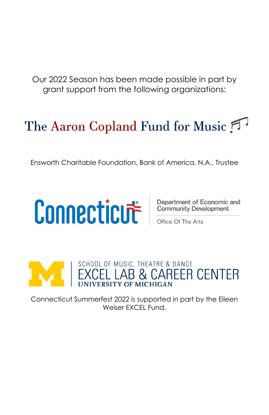Our 2022 Season has been made possible in part by grant support from the following organizations:

# The Aaron Copland Fund for Music

Ensworth Charitable Foundation, Bank of America, N.A., Trustee

# **Connection Contribution** Community Development

# EXCEL LAB & CAREER CENTER

Connecticut Summerfest 2022 is supported in part by the Eileen Weiser FXCEL Fund.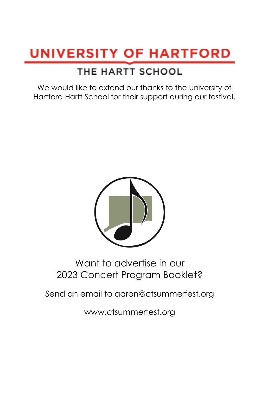# **UNIVERSITY OF HARTFORD**

#### THE HARTT SCHOOL

We would like to extend our thanks to the University of Hartford Hartt School for their support during our festival.



#### Want to advertise in our 2023 Concert Program Booklet?

Send an email to aaron@ctsummerfest.org

www.ctsummerfest.org